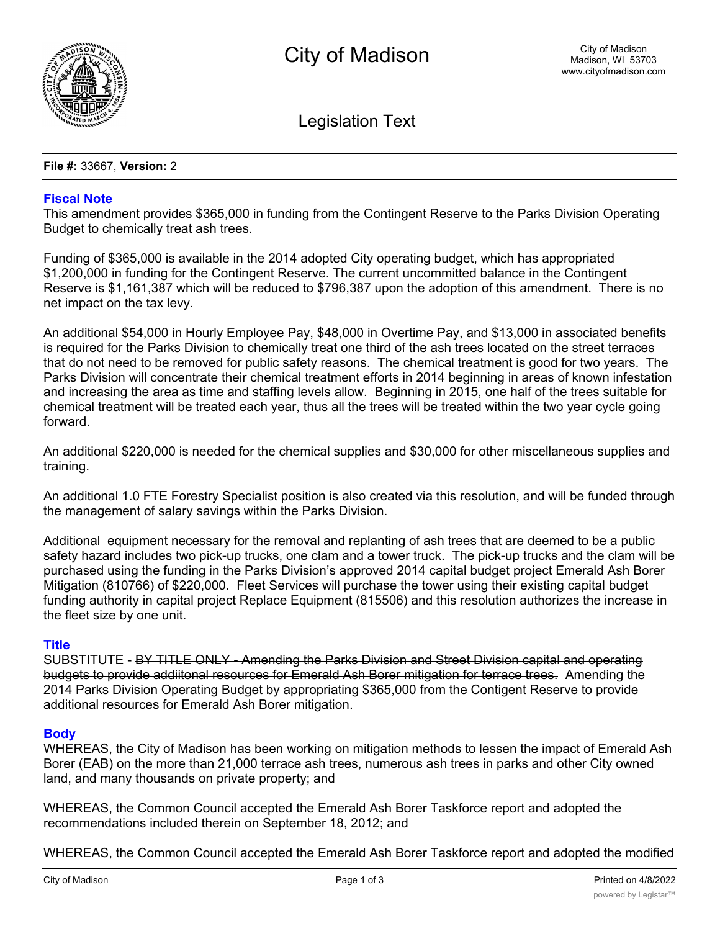

Legislation Text

**File #:** 33667, **Version:** 2

# **Fiscal Note**

This amendment provides \$365,000 in funding from the Contingent Reserve to the Parks Division Operating Budget to chemically treat ash trees.

Funding of \$365,000 is available in the 2014 adopted City operating budget, which has appropriated \$1,200,000 in funding for the Contingent Reserve. The current uncommitted balance in the Contingent Reserve is \$1,161,387 which will be reduced to \$796,387 upon the adoption of this amendment. There is no net impact on the tax levy.

An additional \$54,000 in Hourly Employee Pay, \$48,000 in Overtime Pay, and \$13,000 in associated benefits is required for the Parks Division to chemically treat one third of the ash trees located on the street terraces that do not need to be removed for public safety reasons. The chemical treatment is good for two years. The Parks Division will concentrate their chemical treatment efforts in 2014 beginning in areas of known infestation and increasing the area as time and staffing levels allow. Beginning in 2015, one half of the trees suitable for chemical treatment will be treated each year, thus all the trees will be treated within the two year cycle going forward.

An additional \$220,000 is needed for the chemical supplies and \$30,000 for other miscellaneous supplies and training.

An additional 1.0 FTE Forestry Specialist position is also created via this resolution, and will be funded through the management of salary savings within the Parks Division.

Additional equipment necessary for the removal and replanting of ash trees that are deemed to be a public safety hazard includes two pick-up trucks, one clam and a tower truck. The pick-up trucks and the clam will be purchased using the funding in the Parks Division's approved 2014 capital budget project Emerald Ash Borer Mitigation (810766) of \$220,000. Fleet Services will purchase the tower using their existing capital budget funding authority in capital project Replace Equipment (815506) and this resolution authorizes the increase in the fleet size by one unit.

# **Title**

SUBSTITUTE - BY TITLE ONLY - Amending the Parks Division and Street Division capital and operating budgets to provide addiitonal resources for Emerald Ash Borer mitigation for terrace trees. Amending the 2014 Parks Division Operating Budget by appropriating \$365,000 from the Contigent Reserve to provide additional resources for Emerald Ash Borer mitigation.

# **Body**

WHEREAS, the City of Madison has been working on mitigation methods to lessen the impact of Emerald Ash Borer (EAB) on the more than 21,000 terrace ash trees, numerous ash trees in parks and other City owned land, and many thousands on private property; and

WHEREAS, the Common Council accepted the Emerald Ash Borer Taskforce report and adopted the recommendations included therein on September 18, 2012; and

WHEREAS, the Common Council accepted the Emerald Ash Borer Taskforce report and adopted the modified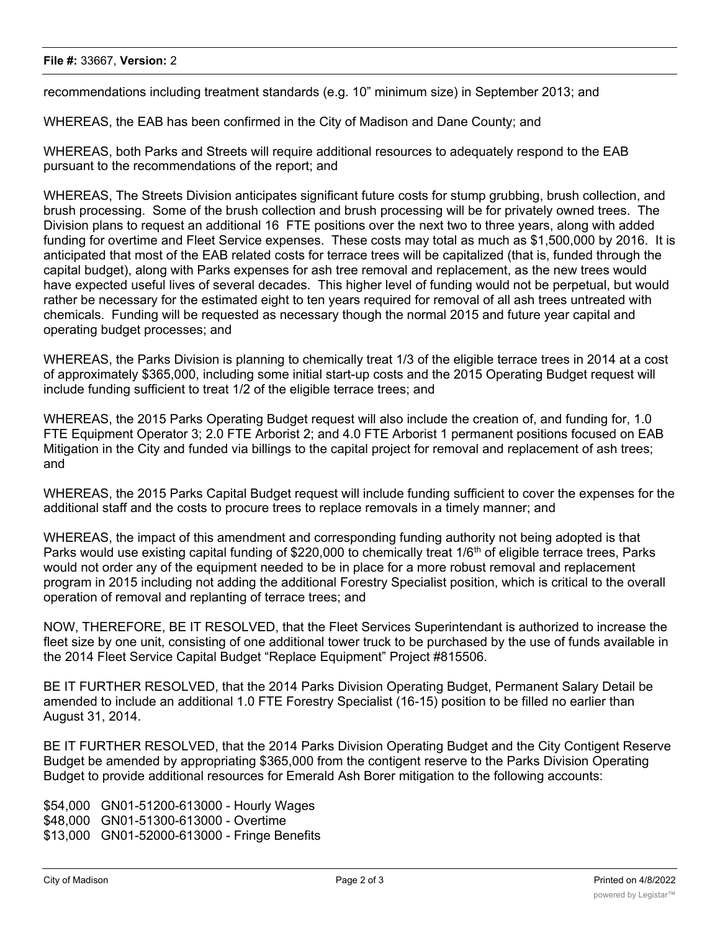### **File #:** 33667, **Version:** 2

recommendations including treatment standards (e.g. 10" minimum size) in September 2013; and

WHEREAS, the EAB has been confirmed in the City of Madison and Dane County; and

WHEREAS, both Parks and Streets will require additional resources to adequately respond to the EAB pursuant to the recommendations of the report; and

WHEREAS, The Streets Division anticipates significant future costs for stump grubbing, brush collection, and brush processing. Some of the brush collection and brush processing will be for privately owned trees. The Division plans to request an additional 16 FTE positions over the next two to three years, along with added funding for overtime and Fleet Service expenses. These costs may total as much as \$1,500,000 by 2016. It is anticipated that most of the EAB related costs for terrace trees will be capitalized (that is, funded through the capital budget), along with Parks expenses for ash tree removal and replacement, as the new trees would have expected useful lives of several decades. This higher level of funding would not be perpetual, but would rather be necessary for the estimated eight to ten years required for removal of all ash trees untreated with chemicals. Funding will be requested as necessary though the normal 2015 and future year capital and operating budget processes; and

WHEREAS, the Parks Division is planning to chemically treat 1/3 of the eligible terrace trees in 2014 at a cost of approximately \$365,000, including some initial start-up costs and the 2015 Operating Budget request will include funding sufficient to treat 1/2 of the eligible terrace trees; and

WHEREAS, the 2015 Parks Operating Budget request will also include the creation of, and funding for, 1.0 FTE Equipment Operator 3; 2.0 FTE Arborist 2; and 4.0 FTE Arborist 1 permanent positions focused on EAB Mitigation in the City and funded via billings to the capital project for removal and replacement of ash trees; and

WHEREAS, the 2015 Parks Capital Budget request will include funding sufficient to cover the expenses for the additional staff and the costs to procure trees to replace removals in a timely manner; and

WHEREAS, the impact of this amendment and corresponding funding authority not being adopted is that Parks would use existing capital funding of \$220,000 to chemically treat 1/6<sup>th</sup> of eligible terrace trees, Parks would not order any of the equipment needed to be in place for a more robust removal and replacement program in 2015 including not adding the additional Forestry Specialist position, which is critical to the overall operation of removal and replanting of terrace trees; and

NOW, THEREFORE, BE IT RESOLVED, that the Fleet Services Superintendant is authorized to increase the fleet size by one unit, consisting of one additional tower truck to be purchased by the use of funds available in the 2014 Fleet Service Capital Budget "Replace Equipment" Project #815506.

BE IT FURTHER RESOLVED, that the 2014 Parks Division Operating Budget, Permanent Salary Detail be amended to include an additional 1.0 FTE Forestry Specialist (16-15) position to be filled no earlier than August 31, 2014.

BE IT FURTHER RESOLVED, that the 2014 Parks Division Operating Budget and the City Contigent Reserve Budget be amended by appropriating \$365,000 from the contigent reserve to the Parks Division Operating Budget to provide additional resources for Emerald Ash Borer mitigation to the following accounts:

\$54,000 GN01-51200-613000 - Hourly Wages \$48,000 GN01-51300-613000 - Overtime \$13,000 GN01-52000-613000 - Fringe Benefits